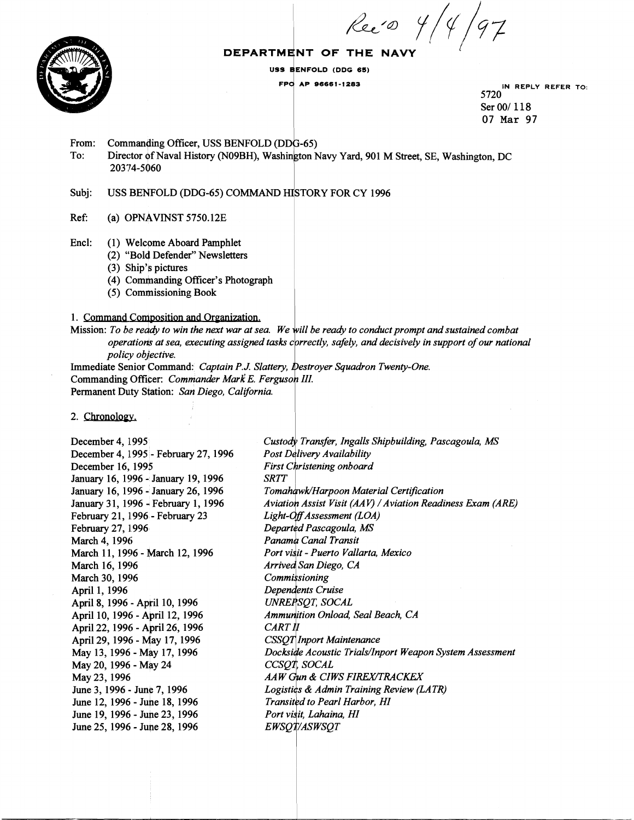Rec-0 4/4/97



## DEPARTMENT OF THE

USS BENFOLD (DDG 65) FPO AP 96661-1283

**IN REPLY REFER TO:**  5720 Ser 00/118 07 **Mar 97** 

From: Commanding Officer, USS BENFOLD (DDG-65) To: Director df Naval History (N09BH), Yard, 901 M Street, SE, Washington, DC 203'74-5060

Subj: USS BENFOLD (DDG-65) COMMAND HISTORY FOR CY 1996

 $Ref:$  (a) OPNAVINST 5750.12E

Encl: (1) Welcome Aboard Pamphlet

- (2) "Bold Defender" Newsletters
- (3) Ship's pictures
- (4) Commanding Officer's Photograph
- (5) Commissioning Book

## 1. Command Composition and Organization.

*Mission: To be ready to win the next war at sea. We will be ready to conduct prompt and sustained combat safely, and decisively in support of our national policy objective.* 

Immediate Senior Command: *Captain P.J. Slattery*, *Destroyer Squadron Twenty-One.* Commanding Officer: Commander Mark E. Ferguson III. Permanent Duty Station: San Diego, California.

2. Chronology.

December 4, 1995 December 4, 1995 - February 27,1996 December 16, 1995 January 16, 1996 - January 19,1996 January 16,1996 - January 26,1996 January 3 1, 1996 - February 1,1996 February 21, 1996 - February 23 February 27, 1996 March 4,1996 March 11, 1996 - March 12, 1996 March 16,1996 March 30, 1996 April 1, 1996 April 8, 1996 - April 10, 1996 April 10, 1996 - April 12, 1996 April 22, 1996 - April 26, 1996 April 29,1996 - May 17,1996 May 13, 1996 - May 17, 1996 May 20, 1996 - May 24 May 23,1996 June 3,1996 - June 7,1996 June 12, 1996 - June 18,1996 June 19, 1996 - June 23,1996 June 25, 1996 - June 28, 1996

Custody Transfer, Ingalls Shipbuilding, Pascagoula, MS Post Delivery Availability First Christening onboard **SRTT** Tomahawk/Harpoon Material Certification *Visit (AAV /Aviation Readiness Exam (ARE)*  Light-Off Assessment (LOA) Departed Pascagoula, MS Panama Canal Transit Port visit - Puerto Vallarta, Mexico Arrived San Diego, CA Commissioning Dependents Cruise UNREPSQT, SOCAL **Ammunition Onload, Seal Beach, CA CART II CSSOT** Inport Maintenance **Dockside Acoustic Trials/Inport Weapon System Assessment** CCSOT, SOCAL AAW Gun & CIWS FIREX/TRACKEX Logistics & Admin Training Review (LATR) *Transited to Pearl Harbor, HI*<br>*Port visit, Lahaina, HI<br>EWSQT/ASWSQT*<br><br>*A* Port visit, Lahaina, HI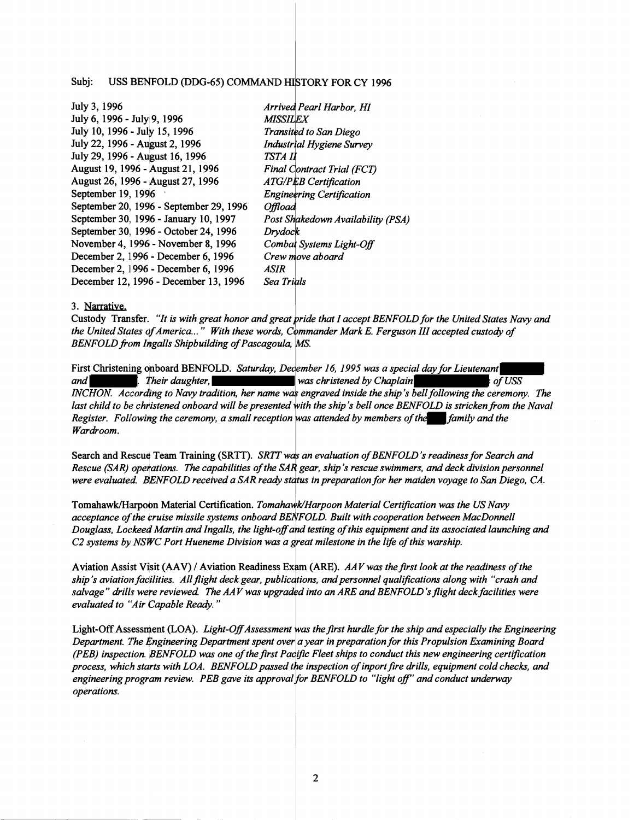**July 3, 1996**  Arrived Pearl Harbor, HI **July 6, 1996** - **July 9, 1996 MISSILEX July 10, 1996** - **July 15, 1996 Transited to San Diego July 22, 1996** - **August 2, 1996 Industrial Hygiene Survey July 29, 1996** - **August 16,1996**  TSTA II **August 19,1996** - **August 21,1996 Final Contract Trial (FCT) August 26,1996** - **August 27,1996 ATG/PEB Certification September 19., 1996 Engineering Certification September 20., 1996** - **September 29, 1996**  Offload **September 30., 1996** - **January 10, 1997 Post Shakedown Availability (PSA) September 30., 1996** - **October 24, 1996**  Drydock **November 4, 1996** - **November 8, 1996**  Combat Systems Light-Off **December 2,1996** - **December 6,1996**  Crew move aboard **December 2, I 996** - **December 6, 1996 ASIR December 12, 1996** - **December 13, 1996**  Sea Trials

#### **3. Narrative.**

Custody Transfer. "It is with great honor and great pride that I accept BENFOLD for the United States Navy and Custody Transter. "It is with great honor and great pride that I accept BENFOLD for the United States N<br>the United States of America..." With these words, Commander Mark E. Ferguson III accepted custody of<br>BENFOLD from Ing

First Christening onboard BENFOLD. Saturday, December 16, 1995 was a special day for Lieutenant *and . neir daughter, of USS INCHON. According to Navy tradition, her name was engraved inside the ship's bell following the ceremony. The* last child to be christened onboard will be presented with the ship's bell once BENFOLD is stricken from the Naval *Register. Following the ceremony, a small reception was attended by members of the family and the Wardroom.* 

Search and Rescue Team Training (SRTT). *SRTT was an evaluation of BENFOLD's readiness for Search and Rescue (SAR) operations. The capabilities of the SAR gear, ship's rescue swimmers, and deck division personnel were evaluated. BENFOLD received a SAR ready status in preparation for her maiden voyage to San Diego, CA.* 

**Tomahawk/H;qoon Material Certification.** *TomahawWHarpoon Material Certification was the US Navy*  acceptance of the cruise missile systems onboard BENFOLD. Built with cooperation between MacDonnell Douglass, Lockeed Martin and Ingalls, the light-off and testing of this equipment and its associated launching and C2 systems by NSWC Port Hueneme Division was a great milestone in the life of this warship.

Aviation Assist Visit (AAV) / Aviation Readiness Exam (ARE). AAV was the first look at the readiness of the ship's aviation facilities. All flight deck gear, publications, and personnel qualifications along with "crash and salvage" drills were reviewed. The AAV was upgraded into an ARE and BENFOLD's flight deck facilities were *evaluated to ''Air Capable Ready.* '"

Light-Off Assessment (LOA). *Light-Off Assessment was the first hurdle for the ship and especially the Engineering Department. The Engineering Department spent over a year in preparation for this Propulsion Examining Board (PEB) inspection. BENFOLD was one of the first Pacific Fleet ships to conduct this new engineering certification* process, which starts with LOA. BENFOLD passed the inspection of inport fire drills, equipment cold checks, and <sup>-</sup> engineering program review. PEB gave its approval for BENFOLD to "light off" and conduct underway *operations.*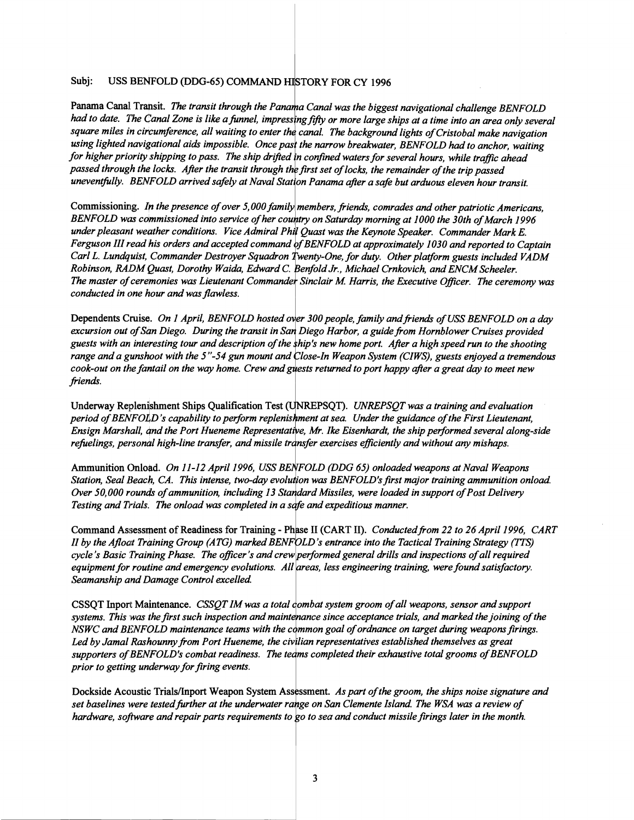Panama Canal Transit. The transit through the Panama Canal was the biggest navigational challenge BENFOLD *had to date. The Canal Zone is like a funnel, impressing fifty or more large ships at a time into an area only several* square miles in circumference, all waiting to enter the canal. The background lights of Cristobal make navigation using lighted navigational aids impossible. Once past the narrow breakwater, BENFOLD had to anchor, waiting for higher priority shipping to pass. The ship drifted in confined waters for several hours, while traffic ahead passed through the locks. After the transit through the first set of locks, the remainder of the trip passed *unevenfilly. BENFOLD arrived safely at Naval Stat on* I *Panama afer a safe but arduous eleven hour transit.* 

Commissioning. *In the presence of over 5,000 family members, friends, comrades and other patriotic Americans,* BENFOLD was commissioned into service of her country on Saturday morning at 1000 the 30th of March 1996 *under pleasant weather conditions. Vice Admiral Phil Quast was the Keynote Speaker. Commander Mark E. Ferguson III read his orders and accepted command f BENFOLD at approximately 1030 and reported to Captain Carl L. Lundquist, Commander Destroyer Squadron Twenty-One, for duty. Other platform guests included VADM* Robinson, RADM Quast, Dorothy Waida, Edward C. Benfold Jr., Michael Crnkovich, and ENCM Scheeler. *The master of ceremonies was Lieutenant Commander Sinclair M. Harris, the Executive Officer. The ceremony was conducted in one hour and was flawless.* 

Dependents Cruise. On 1 April, BENFOLD hosted over 300 people, family and friends of USS BENFOLD on a day excursion out of San Diego. During the transit in San Diego Harbor, a guide from Hornblower Cruises provided guests with an interesting tour and description of the ship's new home port. After a high speed run to the shooting range and a gunshoot with the 5"-54 gun mount and Close-In Weapon System (CIWS), guests enjoyed a tremendous *cook-out on the fantail on the way home. Crew and guests returned to port happy after a great day to meet new friends.* 

Underway Replenishment Ships Qualification Test (UNREPSQT). UNREPSQT was a training and evaluation (UNREPSQT). *UNREPSQT was a training and evaluation*<br>ishment at sea. Under the guidance of the First Lieutenant,<br>itive, Mr. Ike Eisenhardt, the ship performed several along-s<br>transfer exercises efficiently and without any *period of BEAFO4D's capability to perform replenis ment at sea. Under the guidance ofthe First Lieutenant, Ensign Marshall, 4nd the Port Hueneme Representat' e, Mr.* **Ike** *Eisenhardt, the ship performed several along-side refuelings, personal high-line transfer, and missile transfer exercises efficiently and without any mishaps.* 

Ammunition Onload. *On 11-12 April 1996, USS BENFOLD (DDG 65) onloaded weapons at Naval Weapons* Station, Seal Beach, CA. This intense, two-day evolution was BENFOLD's first major training ammunition onload. *Over 50,000 roun& of ammunition, were loaded in support of Post Delivery Testing and Trials. The onload was completed in a safe and expeditious manner.* 

Command Assessment of Readiness for Training - Phase II (CART II). Conducted from 22 to 26 April 1996, CART Command Assessment of Readmess for Training - Thise II (CART II). Conducted from 22 to 20 April 1990, CA<br>II by the Afloat Training Group (ATG) marked BENFOLD's entrance into the Tactical Training Strategy (TTS)<br>cycle's Bas *Seamanship and Damage Control excelled. equipment for routine and emergency evolutions. All areas, less engineering training, were found satisfactory.* 

CSSOT Inport Maintenance. *CSSOT IM was a total combat system groom of all weapons, sensor and support* systems. This was the first such inspection and maintenance since acceptance trials, and marked the joining of the *NSWC and BENFOLD maintenance teams with the common goal of ordnance on target during weapons firings.* Led by Jamal Rashounny from Port Hueneme, the civilian representatives established themselves as great supporters of BENFOLD's combat readiness. The teams completed their exhaustive total grooms of BENFOLD *prior to getting underway for firing events.* 

**Dockside Acaastia TrialsAnport Weapon System** *Aspart of the groom, the ships noise signature and*  set baselines were tested further at the underwater range on San Clemente Island. The WSA was a review of *hardware, software and repair parts requirements to go to sea and conduct missile firings later in the month.*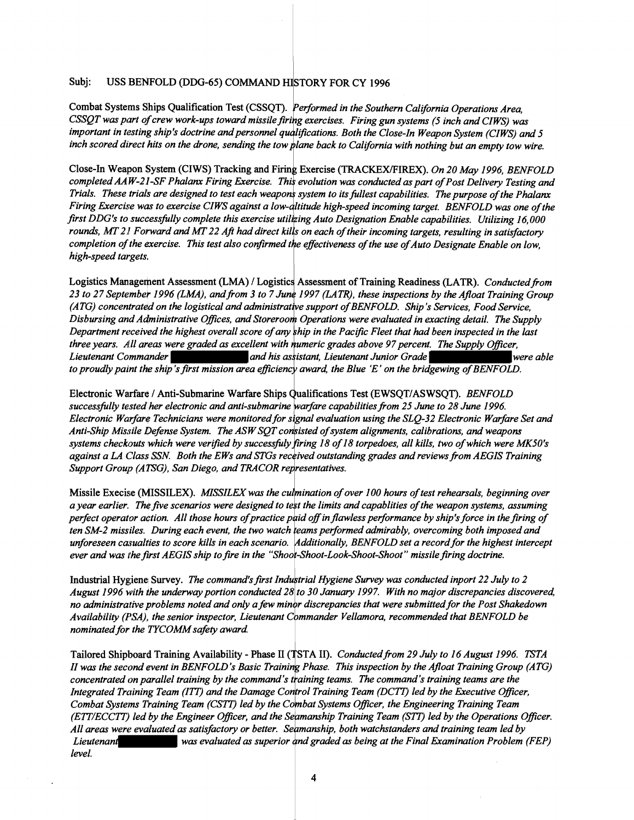Combat Systems Ships Qualification Test (CSSQT). Performed in the Southern California Operations Area, CSSQT was part of crew work-ups toward missile firing exercises. Firing gun systems (5 inch and CIWS) was *important in testing ship's doctrine and personnel qualifications. Both the Close-In Weapon System (CIWS) and 5* inch scored direct hits on the drone, sending the tow plane back to California with nothing but an empty tow wire.

 $\mathbf{I}$ 

Close-In Weapon System (CIWS) Tracking and Firing Exercise (TRACKEX/FIREX). On 20 May 1996, BENFOLD *completed AAW-21-SF Phalanx Firing Exercise. This evolution was conducted as part of Post Delivery Testing and Trials. These trials are designed to test each weapons system to its fullest capabilities. The purpose of the Phalanx Firing Exercise was to exercise CIWS against a low-dititude high-speed incoming target. BENFOLD was one of the* first DDG's to successfully complete this exercise utilizing Auto Designation Enable capabilities. Utilizing 16,000 rounds, MT 21 Forward and MT 22 Aft had direct kills on each of their incoming targets, resulting in satisfactory *completion of the exercise. This test also confirmed the effectiveness of the use of Auto Designate Enable on low, high-speed targets,* 

Logistics Management Assessment (LMA) / Logistics Assessment of Training Readiness (LATR). *Conducted from* 23 to 27 September 1996 (LMA), and from 3 to 7 June 1997 (LATR), these inspections by the Afloat Training Group *(ATG) concentrated on the logistical and administrative support of BENFOLD. Ship's Services, Food Service,* Disbursing and Administrative Offices, and Storeroom Operations were evaluated in exacting detail. The Supply *Department receivied the highest overall score of any hip in the Pacific Fleet that had been inspected in the last three years. All areas were graded as excellent with numeric grades above 97 percent. The Supply Officer, Lieutenant Commander* **and his assistant, Lieutenant Junior Grade** *were able were able to 27 September 1996 (LMA), and from 3 to 7 June 1997 (LATR), these inspections by the Afloat Training (ATG) concentrated on the logistical and administrative support of BENFOLD. Ship's Services, Food Service (ATG) concen* 

**Electronic Warfare** I *BENFOLD successfilly tested her electronic and*  Electronic Warfare Technicians were monitored for signal evaluation using the SLQ-32 Electronic Warfare Set and Anti-Ship Missile Defense System. The ASW SQT consisted of system alignments, calibrations, and weapons systems checkouts which were verified by successfuly firing 18 of 18 torpedoes, all kills, two of which were MK50's against a LA Class SSN. Both the EWs and STGs received outstanding grades and reviews from AEGIS Training **Support Group (ATSG), San Diego, and TRACOR representatives.** 

Missile Execise (MISSILEX). *MISSILEX was the culmination of over 100 hours of test rehearsals, beginning over a year earlier. The five scenarios were designed to test the limits and capablities of the weapon systems, assuming perfect operator action. All those hours of practice paid off in flawless performance by ship's force in the firing of* ten SM-2 missiles. During each event, the two watch *teams performed admirably, overcoming both imposed and* unforeseen casualties to score kills in each scenario. Additionally, BENFOLD set a record for the highest intercept ever and was the first AEGIS ship to fire in the "Shoot-Shoot-Look-Shoot-Shoot" missile firing doctrine.

Industrial Hygiene Survey. The command's first Industrial Hygiene Survey was conducted inport 22 July to 2 *August 1996 with dhe underway portion conducted 28 to 30 Jahuary 1997. With no major discrepancies discovered, no administrative problems noted and only a few minor discrepancies that were submitted for the Post Shakedown* Availability (PSA), the senior inspector, Lieutenant Commander Vellamora, recommended that BENFOLD be *nominated for the TYCOMM safety award.* 

**Tailored Shipboard Training Availability** - **Phase I1** ( **STA 11).** *Conductedfiom 29 July to 16 August 1996. TSTA II* was the second event in BENFOLD's Basic Training Phase. This inspection by the Afloat Training Group (ATG) concentrated on parallel training by the command's training teams. The command's training teams are the *Integrated Training Team (ITT) and the Damage Control Training Team (DCTT) led by the Executive Officer,* Tailored Shipboard Training Availability - Phase II (TSTA II). Conducted from 29 July to 16 August 1996.<br>*Combat Rystems Payson are in BENFOLD's Basic Training Phase.* This inspection by the Afloat Training Group<br>concentra *(ETT/ECCTT)* led by the Engineer Officer, and the Seamanship Training Team (STT) led by the Operations Officer. *All areas were! evaluated as satisfactoiy or better. Se manship, both watchstanders and training team led by Lieutenant was evaluated as superior and graded as being at the Final Examination Problem (FEP) level. k*